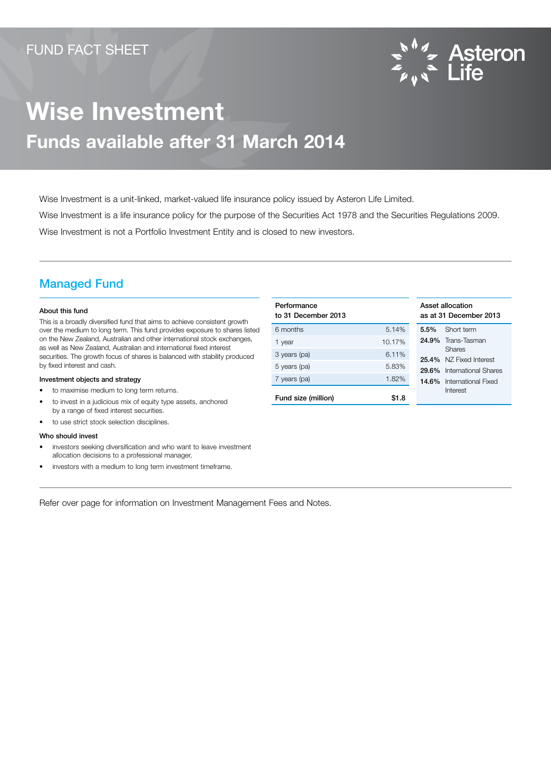

# Wise Investment Funds available after 31 March 2014

Wise Investment is a unit-linked, market-valued life insurance policy issued by Asteron Life Limited. Wise Investment is a life insurance policy for the purpose of the Securities Act 1978 and the Securities Regulations 2009. Wise Investment is not a Portfolio Investment Entity and is closed to new investors.

### Managed Fund

#### About this fund

This is a broadly diversified fund that aims to achieve consistent growth over the medium to long term. This fund provides exposure to shares listed on the New Zealand, Australian and other international stock exchanges, as well as New Zealand, Australian and international fixed interest securities. The growth focus of shares is balanced with stability produced by fixed interest and cash.

#### Investment objects and strategy

- to maximise medium to long term returns.
- to invest in a judicious mix of equity type assets, anchored by a range of fixed interest securities.
- to use strict stock selection disciplines.

#### Who should invest

- investors seeking diversification and who want to leave investment allocation decisions to a professional manager,
- investors with a medium to long term investment timeframe.

Refer over page for information on Investment Management Fees and Notes.

| Performance<br>to 31 December 2013 |        | Asset allocation<br>as at 31 December 2013 |  |
|------------------------------------|--------|--------------------------------------------|--|
| 6 months                           | 5.14%  | Short term<br>$5.5\%$                      |  |
| 1 year                             | 10.17% | 24.9% Trans-Tasman                         |  |
| 3 years (pa)                       | 6.11%  | Shares<br>25.4% NZ Fixed Interest          |  |
| 5 years (pa)                       | 5.83%  | International Shares<br>29.6%              |  |
| 7 years (pa)                       | 1.82%  | 14.6% International Fixed                  |  |
| Fund size (million)                | \$1.8  | Interest                                   |  |